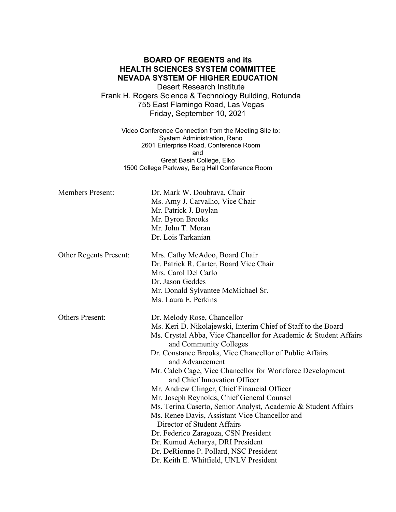# **BOARD OF REGENTS and its HEALTH SCIENCES SYSTEM COMMITTEE NEVADA SYSTEM OF HIGHER EDUCATION**

Desert Research Institute Frank H. Rogers Science & Technology Building, Rotunda 755 East Flamingo Road, Las Vegas Friday, September 10, 2021

Video Conference Connection from the Meeting Site to: System Administration, Reno 2601 Enterprise Road, Conference Room and Great Basin College, Elko 1500 College Parkway, Berg Hall Conference Room

Members Present: Dr. Mark W. Doubrava, Chair Ms. Amy J. Carvalho, Vice Chair Mr. Patrick J. Boylan Mr. Byron Brooks Mr. John T. Moran Dr. Lois Tarkanian

Others Present: Dr. Melody Rose, Chancellor

Other Regents Present: Mrs. Cathy McAdoo, Board Chair Dr. Patrick R. Carter, Board Vice Chair Mrs. Carol Del Carlo Dr. Jason Geddes Mr. Donald Sylvantee McMichael Sr. Ms. Laura E. Perkins

> Ms. Keri D. Nikolajewski, Interim Chief of Staff to the Board Ms. Crystal Abba, Vice Chancellor for Academic & Student Affairs and Community Colleges Dr. Constance Brooks, Vice Chancellor of Public Affairs and Advancement Mr. Caleb Cage, Vice Chancellor for Workforce Development and Chief Innovation Officer Mr. Andrew Clinger, Chief Financial Officer Mr. Joseph Reynolds, Chief General Counsel Ms. Terina Caserto, Senior Analyst, Academic & Student Affairs Ms. Renee Davis, Assistant Vice Chancellor and Director of Student Affairs Dr. Federico Zaragoza, CSN President Dr. Kumud Acharya, DRI President Dr. DeRionne P. Pollard, NSC President

> > Dr. Keith E. Whitfield, UNLV President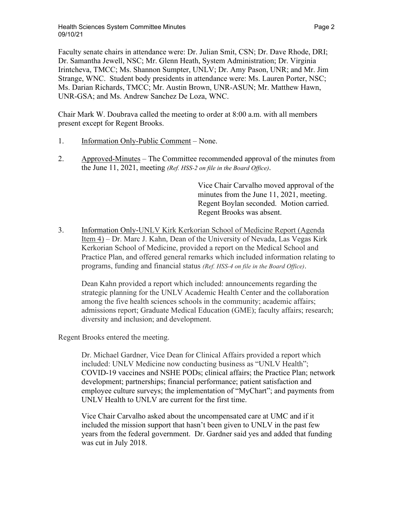Faculty senate chairs in attendance were: Dr. Julian Smit, CSN; Dr. Dave Rhode, DRI; Dr. Samantha Jewell, NSC; Mr. Glenn Heath, System Administration; Dr. Virginia Irintcheva, TMCC; Ms. Shannon Sumpter, UNLV; Dr. Amy Pason, UNR; and Mr. Jim Strange, WNC. Student body presidents in attendance were: Ms. Lauren Porter, NSC; Ms. Darian Richards, TMCC; Mr. Austin Brown, UNR-ASUN; Mr. Matthew Hawn, UNR-GSA; and Ms. Andrew Sanchez De Loza, WNC.

Chair Mark W. Doubrava called the meeting to order at 8:00 a.m. with all members present except for Regent Brooks.

- 1. Information Only-Public Comment None.
- 2. Approved-Minutes The Committee recommended approval of the minutes from the June 11, 2021, meeting *(Ref. HSS-2 on file in the Board Office)*.

Vice Chair Carvalho moved approval of the minutes from the June 11, 2021, meeting. Regent Boylan seconded. Motion carried. Regent Brooks was absent.

3. Information Only-UNLV Kirk Kerkorian School of Medicine Report (Agenda Item 4) – Dr. Marc J. Kahn, Dean of the University of Nevada, Las Vegas Kirk Kerkorian School of Medicine, provided a report on the Medical School and Practice Plan, and offered general remarks which included information relating to programs, funding and financial status *(Ref. HSS-4 on file in the Board Office)*.

Dean Kahn provided a report which included: announcements regarding the strategic planning for the UNLV Academic Health Center and the collaboration among the five health sciences schools in the community; academic affairs; admissions report; Graduate Medical Education (GME); faculty affairs; research; diversity and inclusion; and development.

Regent Brooks entered the meeting.

Dr. Michael Gardner, Vice Dean for Clinical Affairs provided a report which included: UNLV Medicine now conducting business as "UNLV Health"; COVID-19 vaccines and NSHE PODs; clinical affairs; the Practice Plan; network development; partnerships; financial performance; patient satisfaction and employee culture surveys; the implementation of "MyChart"; and payments from UNLV Health to UNLV are current for the first time.

Vice Chair Carvalho asked about the uncompensated care at UMC and if it included the mission support that hasn't been given to UNLV in the past few years from the federal government. Dr. Gardner said yes and added that funding was cut in July 2018.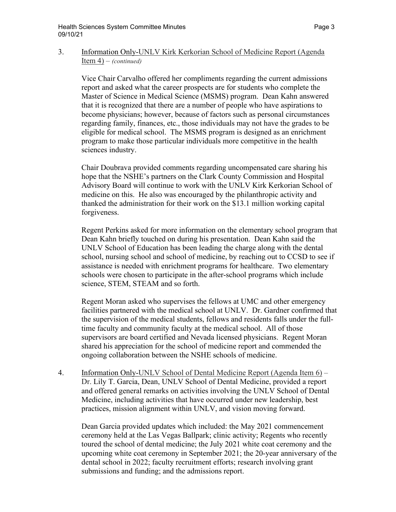### 3. Information Only-UNLV Kirk Kerkorian School of Medicine Report (Agenda Item 4) – *(continued)*

Vice Chair Carvalho offered her compliments regarding the current admissions report and asked what the career prospects are for students who complete the Master of Science in Medical Science (MSMS) program. Dean Kahn answered that it is recognized that there are a number of people who have aspirations to become physicians; however, because of factors such as personal circumstances regarding family, finances, etc., those individuals may not have the grades to be eligible for medical school. The MSMS program is designed as an enrichment program to make those particular individuals more competitive in the health sciences industry.

Chair Doubrava provided comments regarding uncompensated care sharing his hope that the NSHE's partners on the Clark County Commission and Hospital Advisory Board will continue to work with the UNLV Kirk Kerkorian School of medicine on this. He also was encouraged by the philanthropic activity and thanked the administration for their work on the \$13.1 million working capital forgiveness.

Regent Perkins asked for more information on the elementary school program that Dean Kahn briefly touched on during his presentation. Dean Kahn said the UNLV School of Education has been leading the charge along with the dental school, nursing school and school of medicine, by reaching out to CCSD to see if assistance is needed with enrichment programs for healthcare. Two elementary schools were chosen to participate in the after-school programs which include science, STEM, STEAM and so forth.

Regent Moran asked who supervises the fellows at UMC and other emergency facilities partnered with the medical school at UNLV. Dr. Gardner confirmed that the supervision of the medical students, fellows and residents falls under the fulltime faculty and community faculty at the medical school. All of those supervisors are board certified and Nevada licensed physicians. Regent Moran shared his appreciation for the school of medicine report and commended the ongoing collaboration between the NSHE schools of medicine.

4. Information Only-UNLV School of Dental Medicine Report (Agenda Item 6) – Dr. Lily T. Garcia, Dean, UNLV School of Dental Medicine, provided a report and offered general remarks on activities involving the UNLV School of Dental Medicine, including activities that have occurred under new leadership, best practices, mission alignment within UNLV, and vision moving forward.

Dean Garcia provided updates which included: the May 2021 commencement ceremony held at the Las Vegas Ballpark; clinic activity; Regents who recently toured the school of dental medicine; the July 2021 white coat ceremony and the upcoming white coat ceremony in September 2021; the 20-year anniversary of the dental school in 2022; faculty recruitment efforts; research involving grant submissions and funding; and the admissions report.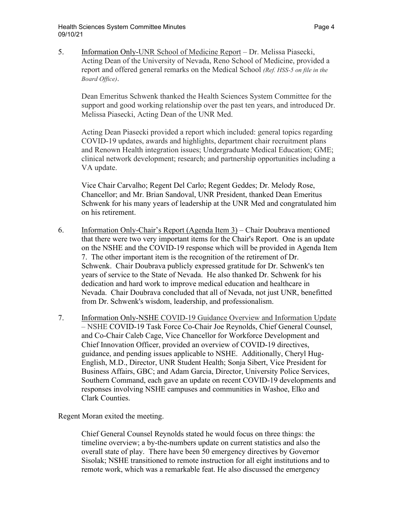5. Information Only-UNR School of Medicine Report – Dr. Melissa Piasecki, Acting Dean of the University of Nevada, Reno School of Medicine, provided a report and offered general remarks on the Medical School *(Ref. HSS-5 on file in the Board Office)*.

Dean Emeritus Schwenk thanked the Health Sciences System Committee for the support and good working relationship over the past ten years, and introduced Dr. Melissa Piasecki, Acting Dean of the UNR Med.

Acting Dean Piasecki provided a report which included: general topics regarding COVID-19 updates, awards and highlights, department chair recruitment plans and Renown Health integration issues; Undergraduate Medical Education; GME; clinical network development; research; and partnership opportunities including a VA update.

Vice Chair Carvalho; Regent Del Carlo; Regent Geddes; Dr. Melody Rose, Chancellor; and Mr. Brian Sandoval, UNR President, thanked Dean Emeritus Schwenk for his many years of leadership at the UNR Med and congratulated him on his retirement.

- 6. Information Only-Chair's Report (Agenda Item 3) Chair Doubrava mentioned that there were two very important items for the Chair's Report. One is an update on the NSHE and the COVID-19 response which will be provided in Agenda Item 7. The other important item is the recognition of the retirement of Dr. Schwenk. Chair Doubrava publicly expressed gratitude for Dr. Schwenk's ten years of service to the State of Nevada. He also thanked Dr. Schwenk for his dedication and hard work to improve medical education and healthcare in Nevada. Chair Doubrava concluded that all of Nevada, not just UNR, benefitted from Dr. Schwenk's wisdom, leadership, and professionalism.
- 7. Information Only-NSHE COVID-19 Guidance Overview and Information Update – NSHE COVID-19 Task Force Co-Chair Joe Reynolds, Chief General Counsel, and Co-Chair Caleb Cage, Vice Chancellor for Workforce Development and Chief Innovation Officer, provided an overview of COVID-19 directives, guidance, and pending issues applicable to NSHE. Additionally, Cheryl Hug-English, M.D., Director, UNR Student Health; Sonja Sibert, Vice President for Business Affairs, GBC; and Adam Garcia, Director, University Police Services, Southern Command, each gave an update on recent COVID-19 developments and responses involving NSHE campuses and communities in Washoe, Elko and Clark Counties.

# Regent Moran exited the meeting.

Chief General Counsel Reynolds stated he would focus on three things: the timeline overview; a by-the-numbers update on current statistics and also the overall state of play. There have been 50 emergency directives by Governor Sisolak; NSHE transitioned to remote instruction for all eight institutions and to remote work, which was a remarkable feat. He also discussed the emergency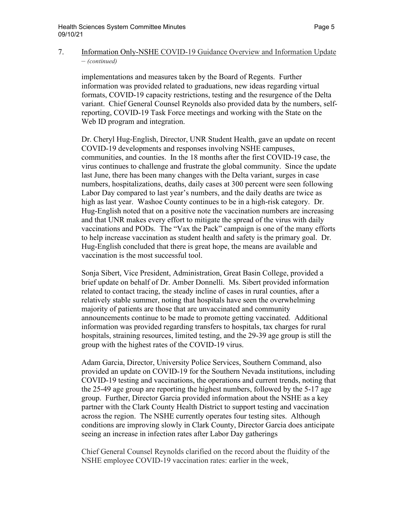# 7. Information Only-NSHE COVID-19 Guidance Overview and Information Update – *(continued)*

implementations and measures taken by the Board of Regents. Further information was provided related to graduations, new ideas regarding virtual formats, COVID-19 capacity restrictions, testing and the resurgence of the Delta variant. Chief General Counsel Reynolds also provided data by the numbers, selfreporting, COVID-19 Task Force meetings and working with the State on the Web ID program and integration.

Dr. Cheryl Hug-English, Director, UNR Student Health, gave an update on recent COVID-19 developments and responses involving NSHE campuses, communities, and counties. In the 18 months after the first COVID-19 case, the virus continues to challenge and frustrate the global community. Since the update last June, there has been many changes with the Delta variant, surges in case numbers, hospitalizations, deaths, daily cases at 300 percent were seen following Labor Day compared to last year's numbers, and the daily deaths are twice as high as last year. Washoe County continues to be in a high-risk category. Dr. Hug-English noted that on a positive note the vaccination numbers are increasing and that UNR makes every effort to mitigate the spread of the virus with daily vaccinations and PODs. The "Vax the Pack" campaign is one of the many efforts to help increase vaccination as student health and safety is the primary goal. Dr. Hug-English concluded that there is great hope, the means are available and vaccination is the most successful tool.

Sonja Sibert, Vice President, Administration, Great Basin College, provided a brief update on behalf of Dr. Amber Donnelli. Ms. Sibert provided information related to contact tracing, the steady incline of cases in rural counties, after a relatively stable summer, noting that hospitals have seen the overwhelming majority of patients are those that are unvaccinated and community announcements continue to be made to promote getting vaccinated. Additional information was provided regarding transfers to hospitals, tax charges for rural hospitals, straining resources, limited testing, and the 29-39 age group is still the group with the highest rates of the COVID-19 virus.

Adam Garcia, Director, University Police Services, Southern Command, also provided an update on COVID-19 for the Southern Nevada institutions, including COVID-19 testing and vaccinations, the operations and current trends, noting that the 25-49 age group are reporting the highest numbers, followed by the 5-17 age group. Further, Director Garcia provided information about the NSHE as a key partner with the Clark County Health District to support testing and vaccination across the region. The NSHE currently operates four testing sites. Although conditions are improving slowly in Clark County, Director Garcia does anticipate seeing an increase in infection rates after Labor Day gatherings

Chief General Counsel Reynolds clarified on the record about the fluidity of the NSHE employee COVID-19 vaccination rates: earlier in the week,